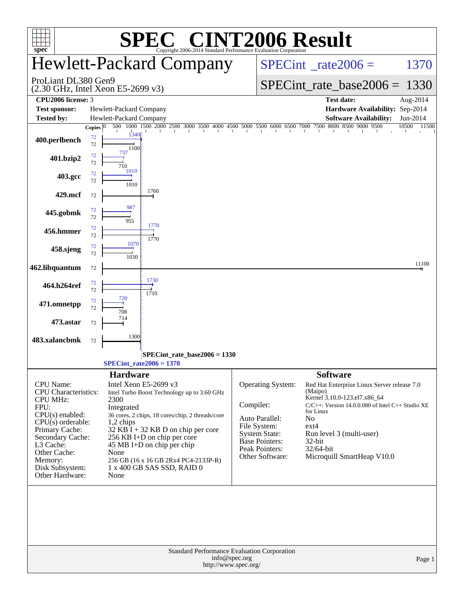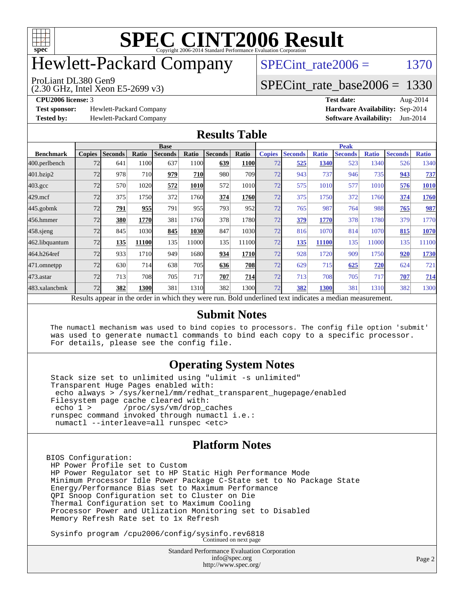

# Hewlett-Packard Company

SPECint rate $2006 = 1370$ 

(2.30 GHz, Intel Xeon E5-2699 v3) ProLiant DL380 Gen9

[SPECint\\_rate\\_base2006 =](http://www.spec.org/auto/cpu2006/Docs/result-fields.html#SPECintratebase2006) 1330

**[Test sponsor:](http://www.spec.org/auto/cpu2006/Docs/result-fields.html#Testsponsor)** Hewlett-Packard Company **[Hardware Availability:](http://www.spec.org/auto/cpu2006/Docs/result-fields.html#HardwareAvailability)** Sep-2014

**[CPU2006 license:](http://www.spec.org/auto/cpu2006/Docs/result-fields.html#CPU2006license)** 3 **[Test date:](http://www.spec.org/auto/cpu2006/Docs/result-fields.html#Testdate)** Aug-2014 **[Tested by:](http://www.spec.org/auto/cpu2006/Docs/result-fields.html#Testedby)** Hewlett-Packard Company **[Software Availability:](http://www.spec.org/auto/cpu2006/Docs/result-fields.html#SoftwareAvailability)** Jun-2014

### **[Results Table](http://www.spec.org/auto/cpu2006/Docs/result-fields.html#ResultsTable)**

|                    | <b>Base</b>   |                |       |                                                                                                          |       |                |                  | <b>Peak</b>   |                |              |                |              |                |              |
|--------------------|---------------|----------------|-------|----------------------------------------------------------------------------------------------------------|-------|----------------|------------------|---------------|----------------|--------------|----------------|--------------|----------------|--------------|
| <b>Benchmark</b>   | <b>Copies</b> | <b>Seconds</b> | Ratio | <b>Seconds</b>                                                                                           | Ratio | <b>Seconds</b> | Ratio            | <b>Copies</b> | <b>Seconds</b> | <b>Ratio</b> | <b>Seconds</b> | <b>Ratio</b> | <b>Seconds</b> | <b>Ratio</b> |
| 400.perlbench      | 72            | 641            | 1100  | 637                                                                                                      | 1100  | 639            | <b>1100</b>      | 72            | 525            | 1340         | 523            | 1340         | 526            | 1340         |
| 401.bzip2          | 72            | 978            | 710   | 979                                                                                                      | 710   | 980            | 709 <sub>1</sub> | 72            | 943            | 737          | 946            | 735          | 943            | <u>737</u>   |
| $403.\mathrm{gcc}$ | 72            | 570            | 1020  | 572                                                                                                      | 1010  | 572            | 1010             | 72            | 575            | 1010         | 577            | 1010         | 576            | <b>1010</b>  |
| $429$ .mcf         | 72            | 375            | 1750  | 372                                                                                                      | 1760  | 374            | 1760             | 72            | 375            | 1750         | 372            | 1760         | 374            | 1760         |
| $445$ .gobmk       | 72            | 791            | 955   | 791                                                                                                      | 955   | 793            | 952              | 72            | 765            | 987          | 764            | 988          | 765            | 987          |
| 456.hmmer          | 72            | 380            | 1770  | 381                                                                                                      | 1760  | 378            | 1780             | 72            | 379            | 1770         | 378            | 1780         | 379            | 1770         |
| $458$ .sjeng       | 72            | 845            | 1030  | 845                                                                                                      | 1030  | 847            | 1030l            | 72            | 816            | 1070         | 814            | 1070         | 815            | 1070         |
| 462.libquantum     | 72            | 135            | 11100 | 135                                                                                                      | 11000 | 135            | 11100            | 72            | 135            | 11100        | 135            | 11000        | 135            | 11100        |
| 464.h264ref        | 72            | 933            | 1710  | 949                                                                                                      | 1680  | 934            | <b>1710</b>      | 72            | 928            | 1720         | 909            | 1750         | 920            | <b>1730</b>  |
| 471.omnetpp        | 72            | 630            | 714   | 638                                                                                                      | 705   | 636            | <b>708</b>       | 72            | 629            | 715          | 625            | 720          | 624            | 721          |
| $473.$ astar       | 72            | 713            | 708   | 705                                                                                                      | 717   | 707            | 714              | 72            | 713            | 708          | 705            | 717          | 707            | <b>714</b>   |
| 483.xalancbmk      | 72            | 382            | 1300  | 381                                                                                                      | 1310  | 382            | 1300l            | 72            | 382            | 1300         | 381            | 1310         | 382            | 1300         |
|                    |               |                |       | Results appear in the order in which they were run. Bold underlined text indicates a median measurement. |       |                |                  |               |                |              |                |              |                |              |

### **[Submit Notes](http://www.spec.org/auto/cpu2006/Docs/result-fields.html#SubmitNotes)**

 The numactl mechanism was used to bind copies to processors. The config file option 'submit' was used to generate numactl commands to bind each copy to a specific processor. For details, please see the config file.

### **[Operating System Notes](http://www.spec.org/auto/cpu2006/Docs/result-fields.html#OperatingSystemNotes)**

 Stack size set to unlimited using "ulimit -s unlimited" Transparent Huge Pages enabled with: echo always > /sys/kernel/mm/redhat\_transparent\_hugepage/enabled Filesystem page cache cleared with:<br>echo 1 > /proc/sys/vm/drop c /proc/sys/vm/drop\_caches runspec command invoked through numactl i.e.: numactl --interleave=all runspec <etc>

### **[Platform Notes](http://www.spec.org/auto/cpu2006/Docs/result-fields.html#PlatformNotes)**

BIOS Configuration: HP Power Profile set to Custom HP Power Regulator set to HP Static High Performance Mode Minimum Processor Idle Power Package C-State set to No Package State Energy/Performance Bias set to Maximum Performance QPI Snoop Configuration set to Cluster on Die Thermal Configuration set to Maximum Cooling Processor Power and Utlization Monitoring set to Disabled Memory Refresh Rate set to 1x Refresh

Sysinfo program /cpu2006/config/sysinfo.rev6818 Continued on next page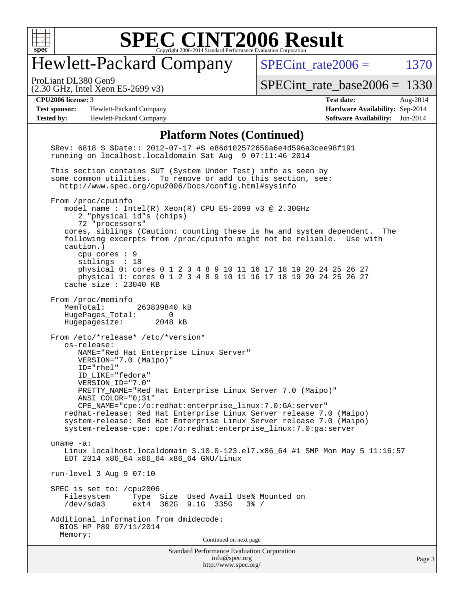

# Hewlett-Packard Company

SPECint rate $2006 = 1370$ 

(2.30 GHz, Intel Xeon E5-2699 v3) ProLiant DL380 Gen9

[SPECint\\_rate\\_base2006 =](http://www.spec.org/auto/cpu2006/Docs/result-fields.html#SPECintratebase2006) 1330

**[Test sponsor:](http://www.spec.org/auto/cpu2006/Docs/result-fields.html#Testsponsor)** Hewlett-Packard Company **[Hardware Availability:](http://www.spec.org/auto/cpu2006/Docs/result-fields.html#HardwareAvailability)** Sep-2014 **[Tested by:](http://www.spec.org/auto/cpu2006/Docs/result-fields.html#Testedby)** Hewlett-Packard Company **[Software Availability:](http://www.spec.org/auto/cpu2006/Docs/result-fields.html#SoftwareAvailability)** Jun-2014

**[CPU2006 license:](http://www.spec.org/auto/cpu2006/Docs/result-fields.html#CPU2006license)** 3 **[Test date:](http://www.spec.org/auto/cpu2006/Docs/result-fields.html#Testdate)** Aug-2014

#### **[Platform Notes \(Continued\)](http://www.spec.org/auto/cpu2006/Docs/result-fields.html#PlatformNotes)**

Standard Performance Evaluation Corporation [info@spec.org](mailto:info@spec.org) <http://www.spec.org/> \$Rev: 6818 \$ \$Date:: 2012-07-17 #\$ e86d102572650a6e4d596a3cee98f191 running on localhost.localdomain Sat Aug 9 07:11:46 2014 This section contains SUT (System Under Test) info as seen by some common utilities. To remove or add to this section, see: <http://www.spec.org/cpu2006/Docs/config.html#sysinfo> From /proc/cpuinfo model name : Intel(R) Xeon(R) CPU E5-2699 v3 @ 2.30GHz 2 "physical id"s (chips) 72 "processors" cores, siblings (Caution: counting these is hw and system dependent. The following excerpts from /proc/cpuinfo might not be reliable. Use with caution.) cpu cores : 9 siblings : 18 physical 0: cores 0 1 2 3 4 8 9 10 11 16 17 18 19 20 24 25 26 27 physical 1: cores 0 1 2 3 4 8 9 10 11 16 17 18 19 20 24 25 26 27 cache size : 23040 KB From /proc/meminfo MemTotal: 263839840 kB HugePages\_Total: 0 Hugepagesize: 2048 kB From /etc/\*release\* /etc/\*version\* os-release: NAME="Red Hat Enterprise Linux Server" VERSION="7.0 (Maipo)" ID="rhel" ID\_LIKE="fedora" VERSION\_ID="7.0" PRETTY\_NAME="Red Hat Enterprise Linux Server 7.0 (Maipo)" ANSI\_COLOR="0;31" CPE\_NAME="cpe:/o:redhat:enterprise\_linux:7.0:GA:server" redhat-release: Red Hat Enterprise Linux Server release 7.0 (Maipo) system-release: Red Hat Enterprise Linux Server release 7.0 (Maipo) system-release-cpe: cpe:/o:redhat:enterprise\_linux:7.0:ga:server uname -a: Linux localhost.localdomain 3.10.0-123.el7.x86\_64 #1 SMP Mon May 5 11:16:57 EDT 2014 x86\_64 x86\_64 x86\_64 GNU/Linux run-level 3 Aug 9 07:10 SPEC is set to: /cpu2006<br>Filesystem Type Type Size Used Avail Use% Mounted on /dev/sda3 ext4 362G 9.1G 335G 3% / Additional information from dmidecode: BIOS HP P89 07/11/2014 Memory: Continued on next page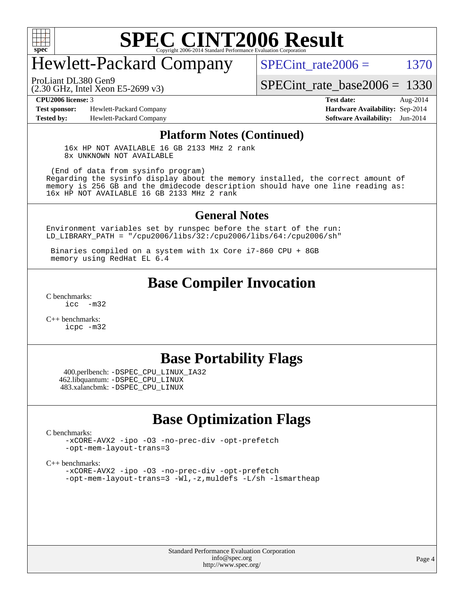

# Hewlett-Packard Company

SPECint rate $2006 = 1370$ 

(2.30 GHz, Intel Xeon E5-2699 v3) ProLiant DL380 Gen9

[SPECint\\_rate\\_base2006 =](http://www.spec.org/auto/cpu2006/Docs/result-fields.html#SPECintratebase2006) 1330

**[Test sponsor:](http://www.spec.org/auto/cpu2006/Docs/result-fields.html#Testsponsor)** Hewlett-Packard Company **[Hardware Availability:](http://www.spec.org/auto/cpu2006/Docs/result-fields.html#HardwareAvailability)** Sep-2014

**[CPU2006 license:](http://www.spec.org/auto/cpu2006/Docs/result-fields.html#CPU2006license)** 3 **[Test date:](http://www.spec.org/auto/cpu2006/Docs/result-fields.html#Testdate)** Aug-2014 **[Tested by:](http://www.spec.org/auto/cpu2006/Docs/result-fields.html#Testedby)** Hewlett-Packard Company **[Software Availability:](http://www.spec.org/auto/cpu2006/Docs/result-fields.html#SoftwareAvailability)** Jun-2014

#### **[Platform Notes \(Continued\)](http://www.spec.org/auto/cpu2006/Docs/result-fields.html#PlatformNotes)**

 16x HP NOT AVAILABLE 16 GB 2133 MHz 2 rank 8x UNKNOWN NOT AVAILABLE

 (End of data from sysinfo program) Regarding the sysinfo display about the memory installed, the correct amount of memory is 256 GB and the dmidecode description should have one line reading as: 16x HP NOT AVAILABLE 16 GB 2133 MHz 2 rank

#### **[General Notes](http://www.spec.org/auto/cpu2006/Docs/result-fields.html#GeneralNotes)**

Environment variables set by runspec before the start of the run: LD\_LIBRARY\_PATH = "/cpu2006/libs/32:/cpu2006/libs/64:/cpu2006/sh"

 Binaries compiled on a system with 1x Core i7-860 CPU + 8GB memory using RedHat EL 6.4

### **[Base Compiler Invocation](http://www.spec.org/auto/cpu2006/Docs/result-fields.html#BaseCompilerInvocation)**

[C benchmarks](http://www.spec.org/auto/cpu2006/Docs/result-fields.html#Cbenchmarks): [icc -m32](http://www.spec.org/cpu2006/results/res2014q3/cpu2006-20140908-31261.flags.html#user_CCbase_intel_icc_5ff4a39e364c98233615fdd38438c6f2)

[C++ benchmarks:](http://www.spec.org/auto/cpu2006/Docs/result-fields.html#CXXbenchmarks) [icpc -m32](http://www.spec.org/cpu2006/results/res2014q3/cpu2006-20140908-31261.flags.html#user_CXXbase_intel_icpc_4e5a5ef1a53fd332b3c49e69c3330699)

### **[Base Portability Flags](http://www.spec.org/auto/cpu2006/Docs/result-fields.html#BasePortabilityFlags)**

 400.perlbench: [-DSPEC\\_CPU\\_LINUX\\_IA32](http://www.spec.org/cpu2006/results/res2014q3/cpu2006-20140908-31261.flags.html#b400.perlbench_baseCPORTABILITY_DSPEC_CPU_LINUX_IA32) 462.libquantum: [-DSPEC\\_CPU\\_LINUX](http://www.spec.org/cpu2006/results/res2014q3/cpu2006-20140908-31261.flags.html#b462.libquantum_baseCPORTABILITY_DSPEC_CPU_LINUX) 483.xalancbmk: [-DSPEC\\_CPU\\_LINUX](http://www.spec.org/cpu2006/results/res2014q3/cpu2006-20140908-31261.flags.html#b483.xalancbmk_baseCXXPORTABILITY_DSPEC_CPU_LINUX)

## **[Base Optimization Flags](http://www.spec.org/auto/cpu2006/Docs/result-fields.html#BaseOptimizationFlags)**

[C benchmarks](http://www.spec.org/auto/cpu2006/Docs/result-fields.html#Cbenchmarks):

[-xCORE-AVX2](http://www.spec.org/cpu2006/results/res2014q3/cpu2006-20140908-31261.flags.html#user_CCbase_f-xAVX2_5f5fc0cbe2c9f62c816d3e45806c70d7) [-ipo](http://www.spec.org/cpu2006/results/res2014q3/cpu2006-20140908-31261.flags.html#user_CCbase_f-ipo) [-O3](http://www.spec.org/cpu2006/results/res2014q3/cpu2006-20140908-31261.flags.html#user_CCbase_f-O3) [-no-prec-div](http://www.spec.org/cpu2006/results/res2014q3/cpu2006-20140908-31261.flags.html#user_CCbase_f-no-prec-div) [-opt-prefetch](http://www.spec.org/cpu2006/results/res2014q3/cpu2006-20140908-31261.flags.html#user_CCbase_f-opt-prefetch) [-opt-mem-layout-trans=3](http://www.spec.org/cpu2006/results/res2014q3/cpu2006-20140908-31261.flags.html#user_CCbase_f-opt-mem-layout-trans_a7b82ad4bd7abf52556d4961a2ae94d5)

[C++ benchmarks:](http://www.spec.org/auto/cpu2006/Docs/result-fields.html#CXXbenchmarks)

[-xCORE-AVX2](http://www.spec.org/cpu2006/results/res2014q3/cpu2006-20140908-31261.flags.html#user_CXXbase_f-xAVX2_5f5fc0cbe2c9f62c816d3e45806c70d7) [-ipo](http://www.spec.org/cpu2006/results/res2014q3/cpu2006-20140908-31261.flags.html#user_CXXbase_f-ipo) [-O3](http://www.spec.org/cpu2006/results/res2014q3/cpu2006-20140908-31261.flags.html#user_CXXbase_f-O3) [-no-prec-div](http://www.spec.org/cpu2006/results/res2014q3/cpu2006-20140908-31261.flags.html#user_CXXbase_f-no-prec-div) [-opt-prefetch](http://www.spec.org/cpu2006/results/res2014q3/cpu2006-20140908-31261.flags.html#user_CXXbase_f-opt-prefetch) [-opt-mem-layout-trans=3](http://www.spec.org/cpu2006/results/res2014q3/cpu2006-20140908-31261.flags.html#user_CXXbase_f-opt-mem-layout-trans_a7b82ad4bd7abf52556d4961a2ae94d5) [-Wl,-z,muldefs](http://www.spec.org/cpu2006/results/res2014q3/cpu2006-20140908-31261.flags.html#user_CXXbase_link_force_multiple1_74079c344b956b9658436fd1b6dd3a8a) [-L/sh -lsmartheap](http://www.spec.org/cpu2006/results/res2014q3/cpu2006-20140908-31261.flags.html#user_CXXbase_SmartHeap_32f6c82aa1ed9c52345d30cf6e4a0499)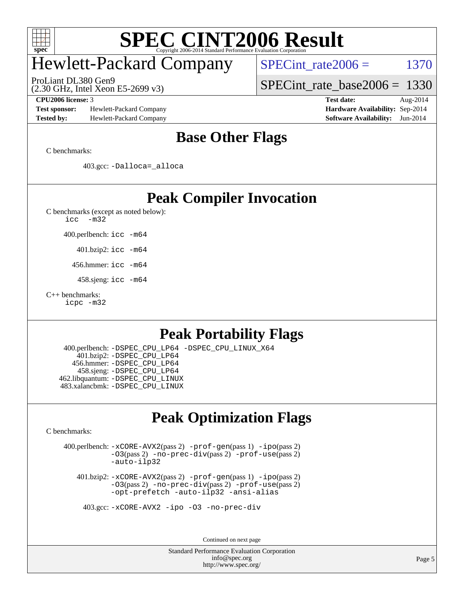

# Hewlett-Packard Company

ProLiant DL380 Gen9

SPECint rate $2006 = 1370$ 

[SPECint\\_rate\\_base2006 =](http://www.spec.org/auto/cpu2006/Docs/result-fields.html#SPECintratebase2006) 1330

**[Test sponsor:](http://www.spec.org/auto/cpu2006/Docs/result-fields.html#Testsponsor)** Hewlett-Packard Company **[Hardware Availability:](http://www.spec.org/auto/cpu2006/Docs/result-fields.html#HardwareAvailability)** Sep-2014 **[Tested by:](http://www.spec.org/auto/cpu2006/Docs/result-fields.html#Testedby)** Hewlett-Packard Company **[Software Availability:](http://www.spec.org/auto/cpu2006/Docs/result-fields.html#SoftwareAvailability)** Jun-2014

(2.30 GHz, Intel Xeon E5-2699 v3)

**[CPU2006 license:](http://www.spec.org/auto/cpu2006/Docs/result-fields.html#CPU2006license)** 3 **[Test date:](http://www.spec.org/auto/cpu2006/Docs/result-fields.html#Testdate)** Aug-2014

## **[Base Other Flags](http://www.spec.org/auto/cpu2006/Docs/result-fields.html#BaseOtherFlags)**

[C benchmarks](http://www.spec.org/auto/cpu2006/Docs/result-fields.html#Cbenchmarks):

403.gcc: [-Dalloca=\\_alloca](http://www.spec.org/cpu2006/results/res2014q3/cpu2006-20140908-31261.flags.html#b403.gcc_baseEXTRA_CFLAGS_Dalloca_be3056838c12de2578596ca5467af7f3)

## **[Peak Compiler Invocation](http://www.spec.org/auto/cpu2006/Docs/result-fields.html#PeakCompilerInvocation)**

[C benchmarks \(except as noted below\)](http://www.spec.org/auto/cpu2006/Docs/result-fields.html#Cbenchmarksexceptasnotedbelow):

[icc -m32](http://www.spec.org/cpu2006/results/res2014q3/cpu2006-20140908-31261.flags.html#user_CCpeak_intel_icc_5ff4a39e364c98233615fdd38438c6f2)

400.perlbench: [icc -m64](http://www.spec.org/cpu2006/results/res2014q3/cpu2006-20140908-31261.flags.html#user_peakCCLD400_perlbench_intel_icc_64bit_bda6cc9af1fdbb0edc3795bac97ada53)

401.bzip2: [icc -m64](http://www.spec.org/cpu2006/results/res2014q3/cpu2006-20140908-31261.flags.html#user_peakCCLD401_bzip2_intel_icc_64bit_bda6cc9af1fdbb0edc3795bac97ada53)

456.hmmer: [icc -m64](http://www.spec.org/cpu2006/results/res2014q3/cpu2006-20140908-31261.flags.html#user_peakCCLD456_hmmer_intel_icc_64bit_bda6cc9af1fdbb0edc3795bac97ada53)

458.sjeng: [icc -m64](http://www.spec.org/cpu2006/results/res2014q3/cpu2006-20140908-31261.flags.html#user_peakCCLD458_sjeng_intel_icc_64bit_bda6cc9af1fdbb0edc3795bac97ada53)

#### [C++ benchmarks:](http://www.spec.org/auto/cpu2006/Docs/result-fields.html#CXXbenchmarks)

[icpc -m32](http://www.spec.org/cpu2006/results/res2014q3/cpu2006-20140908-31261.flags.html#user_CXXpeak_intel_icpc_4e5a5ef1a53fd332b3c49e69c3330699)

# **[Peak Portability Flags](http://www.spec.org/auto/cpu2006/Docs/result-fields.html#PeakPortabilityFlags)**

 400.perlbench: [-DSPEC\\_CPU\\_LP64](http://www.spec.org/cpu2006/results/res2014q3/cpu2006-20140908-31261.flags.html#b400.perlbench_peakCPORTABILITY_DSPEC_CPU_LP64) [-DSPEC\\_CPU\\_LINUX\\_X64](http://www.spec.org/cpu2006/results/res2014q3/cpu2006-20140908-31261.flags.html#b400.perlbench_peakCPORTABILITY_DSPEC_CPU_LINUX_X64) 401.bzip2: [-DSPEC\\_CPU\\_LP64](http://www.spec.org/cpu2006/results/res2014q3/cpu2006-20140908-31261.flags.html#suite_peakCPORTABILITY401_bzip2_DSPEC_CPU_LP64) 456.hmmer: [-DSPEC\\_CPU\\_LP64](http://www.spec.org/cpu2006/results/res2014q3/cpu2006-20140908-31261.flags.html#suite_peakCPORTABILITY456_hmmer_DSPEC_CPU_LP64) 458.sjeng: [-DSPEC\\_CPU\\_LP64](http://www.spec.org/cpu2006/results/res2014q3/cpu2006-20140908-31261.flags.html#suite_peakCPORTABILITY458_sjeng_DSPEC_CPU_LP64) 462.libquantum: [-DSPEC\\_CPU\\_LINUX](http://www.spec.org/cpu2006/results/res2014q3/cpu2006-20140908-31261.flags.html#b462.libquantum_peakCPORTABILITY_DSPEC_CPU_LINUX) 483.xalancbmk: [-DSPEC\\_CPU\\_LINUX](http://www.spec.org/cpu2006/results/res2014q3/cpu2006-20140908-31261.flags.html#b483.xalancbmk_peakCXXPORTABILITY_DSPEC_CPU_LINUX)

# **[Peak Optimization Flags](http://www.spec.org/auto/cpu2006/Docs/result-fields.html#PeakOptimizationFlags)**

[C benchmarks](http://www.spec.org/auto/cpu2006/Docs/result-fields.html#Cbenchmarks):

 400.perlbench: [-xCORE-AVX2](http://www.spec.org/cpu2006/results/res2014q3/cpu2006-20140908-31261.flags.html#user_peakPASS2_CFLAGSPASS2_LDCFLAGS400_perlbench_f-xAVX2_5f5fc0cbe2c9f62c816d3e45806c70d7)(pass 2) [-prof-gen](http://www.spec.org/cpu2006/results/res2014q3/cpu2006-20140908-31261.flags.html#user_peakPASS1_CFLAGSPASS1_LDCFLAGS400_perlbench_prof_gen_e43856698f6ca7b7e442dfd80e94a8fc)(pass 1) [-ipo](http://www.spec.org/cpu2006/results/res2014q3/cpu2006-20140908-31261.flags.html#user_peakPASS2_CFLAGSPASS2_LDCFLAGS400_perlbench_f-ipo)(pass 2) [-O3](http://www.spec.org/cpu2006/results/res2014q3/cpu2006-20140908-31261.flags.html#user_peakPASS2_CFLAGSPASS2_LDCFLAGS400_perlbench_f-O3)(pass 2) [-no-prec-div](http://www.spec.org/cpu2006/results/res2014q3/cpu2006-20140908-31261.flags.html#user_peakPASS2_CFLAGSPASS2_LDCFLAGS400_perlbench_f-no-prec-div)(pass 2) [-prof-use](http://www.spec.org/cpu2006/results/res2014q3/cpu2006-20140908-31261.flags.html#user_peakPASS2_CFLAGSPASS2_LDCFLAGS400_perlbench_prof_use_bccf7792157ff70d64e32fe3e1250b55)(pass 2) [-auto-ilp32](http://www.spec.org/cpu2006/results/res2014q3/cpu2006-20140908-31261.flags.html#user_peakCOPTIMIZE400_perlbench_f-auto-ilp32)

 401.bzip2: [-xCORE-AVX2](http://www.spec.org/cpu2006/results/res2014q3/cpu2006-20140908-31261.flags.html#user_peakPASS2_CFLAGSPASS2_LDCFLAGS401_bzip2_f-xAVX2_5f5fc0cbe2c9f62c816d3e45806c70d7)(pass 2) [-prof-gen](http://www.spec.org/cpu2006/results/res2014q3/cpu2006-20140908-31261.flags.html#user_peakPASS1_CFLAGSPASS1_LDCFLAGS401_bzip2_prof_gen_e43856698f6ca7b7e442dfd80e94a8fc)(pass 1) [-ipo](http://www.spec.org/cpu2006/results/res2014q3/cpu2006-20140908-31261.flags.html#user_peakPASS2_CFLAGSPASS2_LDCFLAGS401_bzip2_f-ipo)(pass 2) [-O3](http://www.spec.org/cpu2006/results/res2014q3/cpu2006-20140908-31261.flags.html#user_peakPASS2_CFLAGSPASS2_LDCFLAGS401_bzip2_f-O3)(pass 2) [-no-prec-div](http://www.spec.org/cpu2006/results/res2014q3/cpu2006-20140908-31261.flags.html#user_peakPASS2_CFLAGSPASS2_LDCFLAGS401_bzip2_f-no-prec-div)(pass 2) [-prof-use](http://www.spec.org/cpu2006/results/res2014q3/cpu2006-20140908-31261.flags.html#user_peakPASS2_CFLAGSPASS2_LDCFLAGS401_bzip2_prof_use_bccf7792157ff70d64e32fe3e1250b55)(pass 2) [-opt-prefetch](http://www.spec.org/cpu2006/results/res2014q3/cpu2006-20140908-31261.flags.html#user_peakCOPTIMIZE401_bzip2_f-opt-prefetch) [-auto-ilp32](http://www.spec.org/cpu2006/results/res2014q3/cpu2006-20140908-31261.flags.html#user_peakCOPTIMIZE401_bzip2_f-auto-ilp32) [-ansi-alias](http://www.spec.org/cpu2006/results/res2014q3/cpu2006-20140908-31261.flags.html#user_peakCOPTIMIZE401_bzip2_f-ansi-alias)

403.gcc: [-xCORE-AVX2](http://www.spec.org/cpu2006/results/res2014q3/cpu2006-20140908-31261.flags.html#user_peakCOPTIMIZE403_gcc_f-xAVX2_5f5fc0cbe2c9f62c816d3e45806c70d7) [-ipo](http://www.spec.org/cpu2006/results/res2014q3/cpu2006-20140908-31261.flags.html#user_peakCOPTIMIZE403_gcc_f-ipo) [-O3](http://www.spec.org/cpu2006/results/res2014q3/cpu2006-20140908-31261.flags.html#user_peakCOPTIMIZE403_gcc_f-O3) [-no-prec-div](http://www.spec.org/cpu2006/results/res2014q3/cpu2006-20140908-31261.flags.html#user_peakCOPTIMIZE403_gcc_f-no-prec-div)

Continued on next page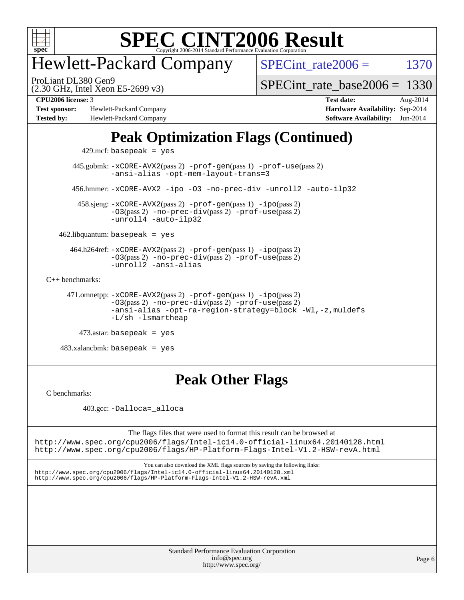

# Hewlett-Packard Company

SPECint rate $2006 = 1370$ 

(2.30 GHz, Intel Xeon E5-2699 v3) ProLiant DL380 Gen9

[SPECint\\_rate\\_base2006 =](http://www.spec.org/auto/cpu2006/Docs/result-fields.html#SPECintratebase2006) 1330

**[Test sponsor:](http://www.spec.org/auto/cpu2006/Docs/result-fields.html#Testsponsor)** Hewlett-Packard Company **[Hardware Availability:](http://www.spec.org/auto/cpu2006/Docs/result-fields.html#HardwareAvailability)** Sep-2014 **[Tested by:](http://www.spec.org/auto/cpu2006/Docs/result-fields.html#Testedby)** Hewlett-Packard Company **[Software Availability:](http://www.spec.org/auto/cpu2006/Docs/result-fields.html#SoftwareAvailability)** Jun-2014

**[CPU2006 license:](http://www.spec.org/auto/cpu2006/Docs/result-fields.html#CPU2006license)** 3 **[Test date:](http://www.spec.org/auto/cpu2006/Docs/result-fields.html#Testdate)** Aug-2014

# **[Peak Optimization Flags \(Continued\)](http://www.spec.org/auto/cpu2006/Docs/result-fields.html#PeakOptimizationFlags)**

429.mcf: basepeak = yes

 445.gobmk: [-xCORE-AVX2](http://www.spec.org/cpu2006/results/res2014q3/cpu2006-20140908-31261.flags.html#user_peakPASS2_CFLAGSPASS2_LDCFLAGS445_gobmk_f-xAVX2_5f5fc0cbe2c9f62c816d3e45806c70d7)(pass 2) [-prof-gen](http://www.spec.org/cpu2006/results/res2014q3/cpu2006-20140908-31261.flags.html#user_peakPASS1_CFLAGSPASS1_LDCFLAGS445_gobmk_prof_gen_e43856698f6ca7b7e442dfd80e94a8fc)(pass 1) [-prof-use](http://www.spec.org/cpu2006/results/res2014q3/cpu2006-20140908-31261.flags.html#user_peakPASS2_CFLAGSPASS2_LDCFLAGS445_gobmk_prof_use_bccf7792157ff70d64e32fe3e1250b55)(pass 2) [-ansi-alias](http://www.spec.org/cpu2006/results/res2014q3/cpu2006-20140908-31261.flags.html#user_peakCOPTIMIZE445_gobmk_f-ansi-alias) [-opt-mem-layout-trans=3](http://www.spec.org/cpu2006/results/res2014q3/cpu2006-20140908-31261.flags.html#user_peakCOPTIMIZE445_gobmk_f-opt-mem-layout-trans_a7b82ad4bd7abf52556d4961a2ae94d5) 456.hmmer: [-xCORE-AVX2](http://www.spec.org/cpu2006/results/res2014q3/cpu2006-20140908-31261.flags.html#user_peakCOPTIMIZE456_hmmer_f-xAVX2_5f5fc0cbe2c9f62c816d3e45806c70d7) [-ipo](http://www.spec.org/cpu2006/results/res2014q3/cpu2006-20140908-31261.flags.html#user_peakCOPTIMIZE456_hmmer_f-ipo) [-O3](http://www.spec.org/cpu2006/results/res2014q3/cpu2006-20140908-31261.flags.html#user_peakCOPTIMIZE456_hmmer_f-O3) [-no-prec-div](http://www.spec.org/cpu2006/results/res2014q3/cpu2006-20140908-31261.flags.html#user_peakCOPTIMIZE456_hmmer_f-no-prec-div) [-unroll2](http://www.spec.org/cpu2006/results/res2014q3/cpu2006-20140908-31261.flags.html#user_peakCOPTIMIZE456_hmmer_f-unroll_784dae83bebfb236979b41d2422d7ec2) [-auto-ilp32](http://www.spec.org/cpu2006/results/res2014q3/cpu2006-20140908-31261.flags.html#user_peakCOPTIMIZE456_hmmer_f-auto-ilp32)

 458.sjeng: [-xCORE-AVX2](http://www.spec.org/cpu2006/results/res2014q3/cpu2006-20140908-31261.flags.html#user_peakPASS2_CFLAGSPASS2_LDCFLAGS458_sjeng_f-xAVX2_5f5fc0cbe2c9f62c816d3e45806c70d7)(pass 2) [-prof-gen](http://www.spec.org/cpu2006/results/res2014q3/cpu2006-20140908-31261.flags.html#user_peakPASS1_CFLAGSPASS1_LDCFLAGS458_sjeng_prof_gen_e43856698f6ca7b7e442dfd80e94a8fc)(pass 1) [-ipo](http://www.spec.org/cpu2006/results/res2014q3/cpu2006-20140908-31261.flags.html#user_peakPASS2_CFLAGSPASS2_LDCFLAGS458_sjeng_f-ipo)(pass 2) [-O3](http://www.spec.org/cpu2006/results/res2014q3/cpu2006-20140908-31261.flags.html#user_peakPASS2_CFLAGSPASS2_LDCFLAGS458_sjeng_f-O3)(pass 2) [-no-prec-div](http://www.spec.org/cpu2006/results/res2014q3/cpu2006-20140908-31261.flags.html#user_peakPASS2_CFLAGSPASS2_LDCFLAGS458_sjeng_f-no-prec-div)(pass 2) [-prof-use](http://www.spec.org/cpu2006/results/res2014q3/cpu2006-20140908-31261.flags.html#user_peakPASS2_CFLAGSPASS2_LDCFLAGS458_sjeng_prof_use_bccf7792157ff70d64e32fe3e1250b55)(pass 2) [-unroll4](http://www.spec.org/cpu2006/results/res2014q3/cpu2006-20140908-31261.flags.html#user_peakCOPTIMIZE458_sjeng_f-unroll_4e5e4ed65b7fd20bdcd365bec371b81f) [-auto-ilp32](http://www.spec.org/cpu2006/results/res2014q3/cpu2006-20140908-31261.flags.html#user_peakCOPTIMIZE458_sjeng_f-auto-ilp32)

 $462$ .libquantum: basepeak = yes

 464.h264ref: [-xCORE-AVX2](http://www.spec.org/cpu2006/results/res2014q3/cpu2006-20140908-31261.flags.html#user_peakPASS2_CFLAGSPASS2_LDCFLAGS464_h264ref_f-xAVX2_5f5fc0cbe2c9f62c816d3e45806c70d7)(pass 2) [-prof-gen](http://www.spec.org/cpu2006/results/res2014q3/cpu2006-20140908-31261.flags.html#user_peakPASS1_CFLAGSPASS1_LDCFLAGS464_h264ref_prof_gen_e43856698f6ca7b7e442dfd80e94a8fc)(pass 1) [-ipo](http://www.spec.org/cpu2006/results/res2014q3/cpu2006-20140908-31261.flags.html#user_peakPASS2_CFLAGSPASS2_LDCFLAGS464_h264ref_f-ipo)(pass 2) [-O3](http://www.spec.org/cpu2006/results/res2014q3/cpu2006-20140908-31261.flags.html#user_peakPASS2_CFLAGSPASS2_LDCFLAGS464_h264ref_f-O3)(pass 2) [-no-prec-div](http://www.spec.org/cpu2006/results/res2014q3/cpu2006-20140908-31261.flags.html#user_peakPASS2_CFLAGSPASS2_LDCFLAGS464_h264ref_f-no-prec-div)(pass 2) [-prof-use](http://www.spec.org/cpu2006/results/res2014q3/cpu2006-20140908-31261.flags.html#user_peakPASS2_CFLAGSPASS2_LDCFLAGS464_h264ref_prof_use_bccf7792157ff70d64e32fe3e1250b55)(pass 2) [-unroll2](http://www.spec.org/cpu2006/results/res2014q3/cpu2006-20140908-31261.flags.html#user_peakCOPTIMIZE464_h264ref_f-unroll_784dae83bebfb236979b41d2422d7ec2) [-ansi-alias](http://www.spec.org/cpu2006/results/res2014q3/cpu2006-20140908-31261.flags.html#user_peakCOPTIMIZE464_h264ref_f-ansi-alias)

[C++ benchmarks:](http://www.spec.org/auto/cpu2006/Docs/result-fields.html#CXXbenchmarks)

 471.omnetpp: [-xCORE-AVX2](http://www.spec.org/cpu2006/results/res2014q3/cpu2006-20140908-31261.flags.html#user_peakPASS2_CXXFLAGSPASS2_LDCXXFLAGS471_omnetpp_f-xAVX2_5f5fc0cbe2c9f62c816d3e45806c70d7)(pass 2) [-prof-gen](http://www.spec.org/cpu2006/results/res2014q3/cpu2006-20140908-31261.flags.html#user_peakPASS1_CXXFLAGSPASS1_LDCXXFLAGS471_omnetpp_prof_gen_e43856698f6ca7b7e442dfd80e94a8fc)(pass 1) [-ipo](http://www.spec.org/cpu2006/results/res2014q3/cpu2006-20140908-31261.flags.html#user_peakPASS2_CXXFLAGSPASS2_LDCXXFLAGS471_omnetpp_f-ipo)(pass 2) [-O3](http://www.spec.org/cpu2006/results/res2014q3/cpu2006-20140908-31261.flags.html#user_peakPASS2_CXXFLAGSPASS2_LDCXXFLAGS471_omnetpp_f-O3)(pass 2) [-no-prec-div](http://www.spec.org/cpu2006/results/res2014q3/cpu2006-20140908-31261.flags.html#user_peakPASS2_CXXFLAGSPASS2_LDCXXFLAGS471_omnetpp_f-no-prec-div)(pass 2) [-prof-use](http://www.spec.org/cpu2006/results/res2014q3/cpu2006-20140908-31261.flags.html#user_peakPASS2_CXXFLAGSPASS2_LDCXXFLAGS471_omnetpp_prof_use_bccf7792157ff70d64e32fe3e1250b55)(pass 2) [-ansi-alias](http://www.spec.org/cpu2006/results/res2014q3/cpu2006-20140908-31261.flags.html#user_peakCXXOPTIMIZE471_omnetpp_f-ansi-alias) [-opt-ra-region-strategy=block](http://www.spec.org/cpu2006/results/res2014q3/cpu2006-20140908-31261.flags.html#user_peakCXXOPTIMIZE471_omnetpp_f-opt-ra-region-strategy_a0a37c372d03933b2a18d4af463c1f69) [-Wl,-z,muldefs](http://www.spec.org/cpu2006/results/res2014q3/cpu2006-20140908-31261.flags.html#user_peakEXTRA_LDFLAGS471_omnetpp_link_force_multiple1_74079c344b956b9658436fd1b6dd3a8a) [-L/sh -lsmartheap](http://www.spec.org/cpu2006/results/res2014q3/cpu2006-20140908-31261.flags.html#user_peakEXTRA_LIBS471_omnetpp_SmartHeap_32f6c82aa1ed9c52345d30cf6e4a0499)

 $473$ .astar: basepeak = yes

 $483.xalanchmk: basepeak = yes$ 

# **[Peak Other Flags](http://www.spec.org/auto/cpu2006/Docs/result-fields.html#PeakOtherFlags)**

[C benchmarks](http://www.spec.org/auto/cpu2006/Docs/result-fields.html#Cbenchmarks):

403.gcc: [-Dalloca=\\_alloca](http://www.spec.org/cpu2006/results/res2014q3/cpu2006-20140908-31261.flags.html#b403.gcc_peakEXTRA_CFLAGS_Dalloca_be3056838c12de2578596ca5467af7f3)

The flags files that were used to format this result can be browsed at

<http://www.spec.org/cpu2006/flags/Intel-ic14.0-official-linux64.20140128.html> <http://www.spec.org/cpu2006/flags/HP-Platform-Flags-Intel-V1.2-HSW-revA.html>

You can also download the XML flags sources by saving the following links: <http://www.spec.org/cpu2006/flags/Intel-ic14.0-official-linux64.20140128.xml> <http://www.spec.org/cpu2006/flags/HP-Platform-Flags-Intel-V1.2-HSW-revA.xml>